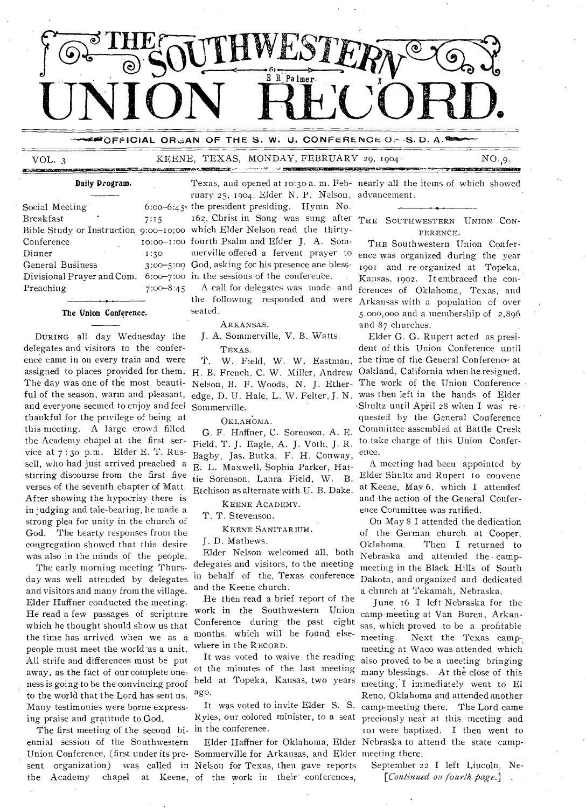

#### POFFICIAL ORGAN OF THE S. W. U. CONFERENCE OrdS. D. A.

# VOL. 3 KEENE, TEXAS, MONDAY, FEBRUARY 29, 1904 NO. 9. VOL. 3 KEENE, T

#### Daily Program.

| Social Meeting                         | $6:00 - 6:45$ |  |
|----------------------------------------|---------------|--|
| Breakfast                              | 7:15          |  |
| Bible Study or Instruction 9:00-10:00  |               |  |
| Conference                             | $10:00-1:00$  |  |
| Dinner                                 | 1:30          |  |
| General Business                       | $3:00 - 5:00$ |  |
| Divisional Prayer and Com: 6:00-7:00 : |               |  |
| Preaching                              | $7:00 - 8:45$ |  |
|                                        |               |  |

#### The Union Conference.

DURING all day Wednesday the delegates and visitors to the conference came in on every train and were assigned to places provided for them. The day was one of the most beautiful of the season, warm and pleasant, and everyone seemed to enjoy and feel thankful for the privilege of being at this meeting. A large crowd filled the Academy chapel at the first service at 7 : 3o p.m. Elder E. T. Russell, who had just arrived preached a stirring discourse from the first five verses of the seventh chapter of Matt. After showing the hypocrisy there is in judging and tale-bearing, he made a strong plea for unity in the church of God. The hearty responses from the congregation showed that this desire was also in the minds of the people.

The early morning meeting Thursday was well attended by delegates and visitors and many from the village. Elder Haffner conducted the meeting. He read a few passages of scripture which he thought should show us that the time has arrived when we as a people must meet the world 'as a unit. All strife and differences must be put away, as the fact of our complete oneness is going to be the convincing proof to the world that the Lord has sent us. Many testimonies were borne expressing praise and gratitude to God.

The first meeting of the second bi- in the conference. ennial session of the Southwestern the Academy chapel at Keene, of the work in their' conferences,

Texas, and opened at ro:3o a. m. Feb-nearly all the items of which showed ruary 25, 1904, Elder N. P. Nelson, advancement.

the president presiding. Hymn No. 162. Christ in Song was sung after THE SOUTHWESTERN UNION CONwhich Elder Nelson read the thirtyfourth Psalm and Elder J. A. Sommerville offered a fervent prayer to God, asking for his presence ane blessin the sessions of the conference.

A call for delegates was made and the following responded and were seated.

#### ARKANSAS.

J. A. Sommerville, V. B. Watts. TEXAS.

T. W. Field, W. W. Eastman, H. B. French, C. W. Miller, Andrew Nelson, B. F. Woods, N. J. Ether-The work of the Union Conference edge, D. U. Hale, L. W. Felter, J. N. was then left in the hands of Eider Sommerville.

OKLAHOMA.

G. F. Haffner, C. Sorenson, A. E. Field, T. J. Eagle, A. J. Voth, J. R. Bagby, Jas. Butka, F. H. Conway, E. L. Maxwell, Sophia Parker, Hattie Sorenson, Laura Field, W. B. Etchison as alternate with U. B. Dake.

KEENE ACADEMY.

T. T. Stevenson.

KEENE SANITARIUM.

J. D. Mathews.

Elder Nelson welcomed all, both delegates and visitors, to the meeting in behalf of the. Texas conference and the Keene church.

He then read a brief report of the work in the Southwestern Union Conference during the past eight months, which will be found elsewhere in the RECORD.

It was voted to waive the reading of the minutes of the last meeting held at Topeka, Kansas, two years ago.

It was voted to invite Elder S. S. Ryles, our colored minister, to a seat

Union Conference, (first under its pre-Sommerville for Arkansas, and Elder meeting there. sent organization) was called in Nelson for Texas, then gave reports

FERENCE.

THE Southwestern Union Conference was organized during the year 190Iand re-organized at Topeka, Kansas, 1902. It embraced the conferences of Oklahoma, Texas, and Arkansas with a population of over 5.000,000 and a membership of 2,896 and 87 churches.

Elder G. G. Rupert acted as president of this Union Conference until the time of the General Conference at Oakland, California when he resigned. •Shultz until April 28 when I was requested by the General Conference Committee assembled at Battle Creek to take charge of this Union Conference.

A meeting had been appointed by Elder Shultz and Rupert to convene at Keene, May 6, which I attended and the action of the General Conference Committee was ratified.

On May 8 I attended the dedication of the German church at Cooper,<br>Oklahoma. Then I returned to Then I returned to Nebraska and attended the campmeeting in the Black Hills of South Dakota, and organized and dedicated a church at Tekamah, Nebraska.

Elder Haffner for Oklahoma, Elder Nebraska to attend the state camp-. June 16 I left Nebraska for the camp-meeting at Van Buren, Arkansas, which proved to be a profitable meeting. Next the Texas campmeeting at Waco was attended which also proved to be a meeting bringing many blessings. At the close of this meeting, I immediately went to El Reno, Oklahoma and attended another camp-meeting there. The Lord came preciously near at this meeting and tot were baptized. I then went to

> September 22 I left Lincoln, Ne- *[Continued ou fourth page.]*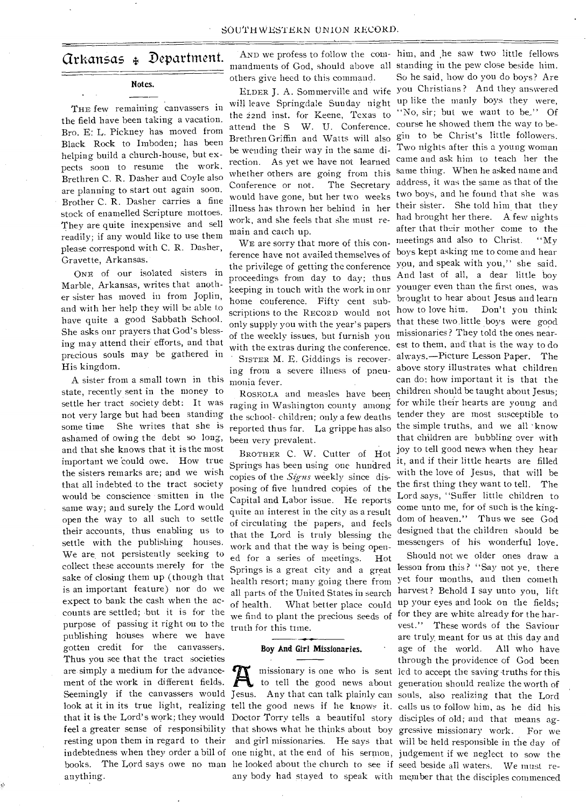## Arkansas 4.4 Department.

### **Notes.**

THE few remaining canvassers in the field have been taking a vacation. Bro. E: L. Pickney has moved from Black Rock to Imboden; has been helping build a church-house, but expects soon to resume the work. Brethren C. R. Dasher and Coyle also are planning to start out again soon. Brother C. R. Dasher carries a fine stock of enamelled Scripture mottoes. They are quite inexpensive and sell readily; if any would like to use them please correspond with C. R. Dasher, Gravette, Arkansas.

ONE of our isolated sisters in Marble, Arkansas, writes that another sister has moved in from Joplin, and with her help they will be able to have quite a good Sabbath School. She asks our prayers that God's blessing may attend their efforts, and that precious souls may be gathered in His kingdom.

A sister from a small town in this state, recently sent in the money to settle her tract society debt: It was not very large but had been standing some time She writes that she is ashamed of owing the debt so long, and that she knows that it is the most important we 'could owe. How true the sisters remarks are; and we wish that all indebted to the tract society would be conscience smitten in the same way; and surely the Lord would open the way to all such to settle their accounts, thus enabling us to settle with the publishing houses. We are not persistently seeking to collect these accounts merely for the sake of closing them up (though that is an important feature) nor do we expect to bank the cash when the accounts are settled; but it is for the purpose of passing it right on to the publishing houses where we have gotten credit for the canvassers. Thus you see that the tract societies are simply a medium for the advancement of the work in different fields. that it is the Lord's work; they would Doctor Torry tells a beautiful story disciples of old; and that means agbooks. The Lord says owe no man he looked about the church to see if seed beside all waters. We must reanything.

AND we profess to follow the com-him, and ,he saw two little fellows others give heed to this command.

will leave Springdale Sunday night up like the manly boys they were, the 22nd inst. for Keene, Texas to attend the S W. U. Conference. be wending their way in the same direction. As yet we have not learned whether others are going from this Conference or not. The Secretary would have gone, but her two weeks illness has thrown her behind in her work, and she feels that she must remain and catch up.

WE are sorry that more of this conference have not availed themselves of the privilege of getting the conference proceedings from day to day; thus keeping in touch with the work in our home conference. Fifty cent subscriptions to the RECORD would not only supply you with the year's papers of the weekly issues, but furnish you with the extras during the conference. SISTER M. E. Giddings is recovering from a severe illness of pneumonia fever.

ROSEOLA and measles have been raging in Washington county among the school- children; only a few deaths reported thus far. La grippe has also been very prevalent.

BROTHER C. W. Cutter of Hot Springs has been using one hundred copies of the *S*i*gns* weekly since disposing of five hundred copies of the Capital and Labor issue. He reports quite an interest in the city as a result of circulating the papers, and feels that the Lord is truly blessing the work and that the way is being opened for a series of meetings. Hot Springs is a great city and a great health resort; many going there from all parts of the United States in search of health. What better place could we find to plant the precious seeds of truth for this time.

#### **Boy And Girl Missionaries.**

any body had stayed to speak with member that the disciples commenced

mandments of God, should above all standing in the pew close beside him. ELDER J. A. Sommerville and wife you Christians ? And they answered Brethren Griffin and Watts will also gin to be Christ's little followers. So he said, how do you do boys? Are "No, sir; but we want to be." Of course he showed them the way to be-Two nights after this a young woman came and ask him to teach her the same thing. When he asked name and address, it was the same as that of the two boys, and he found that she was their sister. She told him that they had brought her there. A few nights after that their mother come to the meetings and also to Christ. "My boys kept asking me to come and hear you, and speak with you," she said. And last of all, a dear little boy younger even than the first ones, was brought to hear about Jesus and learn how to love him. Don't you think that these two little boys were good missionaries? They told the ones nearest to them, and' that is the way to do always.—Picture Lesson Paper. The above story illustrates what children can do: how important it is that the children should be taught about Jesus; for while their hearts are young and tender they are most susceptible to the simple truths, and we all 'know that children are bubbling over with joy to tell good news when they hear it, and if their little hearts are filled with the love of Jesus, that will be the first thing they want to tell. The Lord says, "Suffer little children to come unto me, for of such is the kingdom of heaven." Thus we see God designed that the children should be messengers of his wonderful love.

Seemingly if the canvassers would Jesus. Any that can talk plainly can souls, also realizing that the Lord look at it in its true light, realizing tell the good news if he knows it. calls us to follow him, as he did his feel a greater sense of responsibility that shows what he thinks about boy gressive missionary work. For we resting upon them in regard to their and girl missionaries. He says that will be held responsible in the day of indebtedness when they order a bill of one night, at the end of his sermon, judgement if we neglect to sow the missionary is one who is sent led to accept the saving truths for this to tell the good news about generation should realize the worth of Should not we older ones draw a lesson from this? "Say not ye, there yet four months, and then cometh harvest ? Behold I say unto you, lift up your eyes and look on the fields; for they are white already for the harvest." These words of the Saviour are truly meant for us at this day and age of the world. All who have through the providence of God been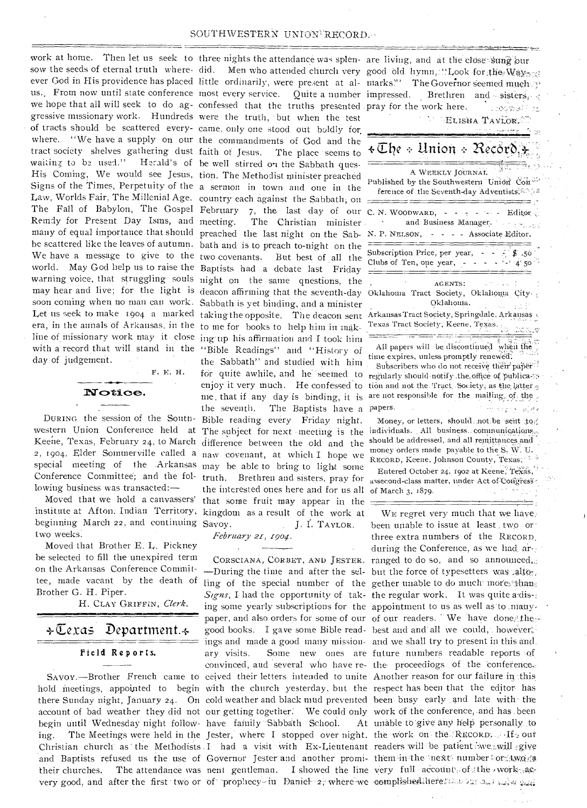#### SOUTHWESTERN UNION RECORD.

work at home. Then let us seek to three nights the attendance was splen- are living, and at the close sung our sow the seeds of eternal truth where-did. ever God in His providence has placed little ordinarily, were present at alus., From now until state conference most every service. Quite a number we hope that all will seek to do ag-confessed that the truths presented gressive missionary work. Hundreds were the truth, but when the test of tracts should be scattered every-came, only one stood out boldly for, where. "We have a supply on our the commandments of God and the tract society shelves gathering dust faith of Jesus. The place seems to waiting to be used." Herald's of be well stirred on the Sabbath ques-His Coning, We would see Jesus, tion. The Methodist minister preached Signs of the Times, Perpetuity of the a sermon in town and one in the Law, Worlds Fair, The Millenial Age, country each against the Sabbath;on The Fall of Babylon, The Gospel February 7, the last day of our Remdy for Present Day Isms, and many of equal importance that should preached the last night on the Sabbe scattered like the leaves of autumn. bath and is to preach to-night on the We have a message to give to the two covenants. But best of all the world. May God help us to raise the Baptists had a debate last Friday warning voice, that struggling souls night on the same qnestions, the may hear and live; for the light is deacon affirming that the seventh-day soon coming when no man can work. Sabbath is yet binding, and a minister Let us seek to make 1904 a marked taking the opposite. The deacon sent era, in the annals of Arkansas, in the to me for books to help him, in mak. line of missionary work may it close ing up his affirmation and I took him with a record that will stand in the "Bible Readings" and "History of day of judgement. • • • F. E. H.

Notice.

Keene, Texas, February 24, to March difference between the old and the 2, 1904, Elder Sommerville called a naw covenant, at which I hope we special meeting of the Arkansas may be able to bring to light some Conference Committee; and the fol-truth. Brethren and sisters, pray for lowing business was transacted:—

Moved that we hold a canvassers' beginning March 22, and continuing Savoy. two weeks.

Moved that Brother E. L. Pickney be selected to fill the unexpired term on the Arkansas Conference Committee, made vacant by the death of Brother G. H. Piper.

H. CLAY GRIFFIN, *Clerk.* 

# $\div \mathbb{C}$ exas Department. $\div$ Field Reports.

very good, and after the first two or of 'prophecy-in Daniel-2, where we complished liere. begin until Wednesday night follow- have family Sabbath School.

DURING the session of the South-Bible reading every Friday night. institute at Afton: Indian Territory, kingdom as a result of the work at Men who attended church very The Christian minister the Sabbath" and studied with him for quite awhile, and he seemed to enjoy it very much. He confessed to me that if any day is binding, it is the seventh. The Baptists have a the interested ones here and for us all of March 3, 1879. that some fruit may appear in the J. I. TAYLOR.

*February 21-, 1-90e1.* 

SAVOY.—Brother French came to ceived their letters intended to unite Another reason for our failure in this paper, and also orders for some of our of our readers. We have good books. I gave some Bible read- best and and all we could, however; ings and made a good many mission-and we Shall try to present in this-and. ary visits. Some new ones are future numbers readable reports of convinced, and several who have re- the proceediogs of the conference. ling of the special number of the gether unable to do much mores than: *Signs*, I had the opportunity of tak- the regular work. It was quite a dis-: ing some yearly subscriptions for the appointment to us as well as to many. hold meetings, appointed to begin with the church yesterday, but the respect has been that the editor has there Sunday night, January 24. On cold weather and black mud prevented been busy early and late with the account of bad weather they did not our getting together. We could only work of the conference, and has been ing. The Meetings were held in the Jester, where I stopped over night, the work on the RECORD, His our the methods with the yester, where I stepped over mean, the weather the teachers will be patient- in the strength of the Christian church as the Methodists I had a visit with Ex-Lieutenant readers will be patient- weak wil and Baptists refused us the use of Governor Jester and another promi- them in the next number or two fa their churches. The attendance was nent gentleman. I showed the line very full account of the •work ac-

| good_old_hymn, :::Look_for;the; Way-sa<br>marks."'<br>The Governor seemed much<br>impressed. Brethren and sisters,<br>pray for the work here. The proposition<br>ELISHA TAVLOR.<br><u> 1911 roman - Tri sep</u>                                                                                            |
|------------------------------------------------------------------------------------------------------------------------------------------------------------------------------------------------------------------------------------------------------------------------------------------------------------|
| $\star \mathbb{C}$ he + Union + Record, 3                                                                                                                                                                                                                                                                  |
| न्दिज<br>A WEEKLY JOURNAL<br>Published by the Southwestern Union Con<br>ference of the Seventh-day Adventists.                                                                                                                                                                                             |
| ⇔ ∵<br>C. N. WOODWARD, $\cdot \cdot \cdot$ - - - Editor<br>and Business Manager.<br>t mallverd<br>- - Associate Editor.<br>N. P. NELSON,                                                                                                                                                                   |
| Subscription Price, per year, -<br>\$.50<br>Clubs of Ten, one year, -<br>$-14.50$                                                                                                                                                                                                                          |
| ACENTS:<br>Oklahoma Tract Society, Oklahoma City<br>Oklahoma.                                                                                                                                                                                                                                              |
| Arkansas Tract Society, Springdale, Arkansas<br>Texas Tract Society, Keene, Texas.<br><u> TERRITORIA (TERRITORIA)</u>                                                                                                                                                                                      |
| All papers will be discontinued when t<br>time expires, unless promptly renewed.<br>Subscribers who do not receive their paper<br>regularly should notify the office of publica-<br>tion and not the Tract Society, as the latter<br>are not responsible for the mailing, of the<br>papers.<br>szgr⊳ p}ete |

western Union Conference held at The subject for next meeting is the individuals. All business communications. Money, or letters, should, notibe sent to should be addressed, and all remittances and money orders made payable to the S. W. RECORD, Keene, Johnson County, Texas:

> Entered October 24, 1902 at Keene, Texas, assecond-class matter, under Act of Congress:

WE regret very much that we have: been unable to issue at least two or three extra numbers of the RECORD. during the Conference, as we had, ar-; CORSCIANA, CORBET, AND JESTER. ranged to do so, and so announced. -During the time and after the sel- but the force of typesetters was alto-, At unable to give any help personally to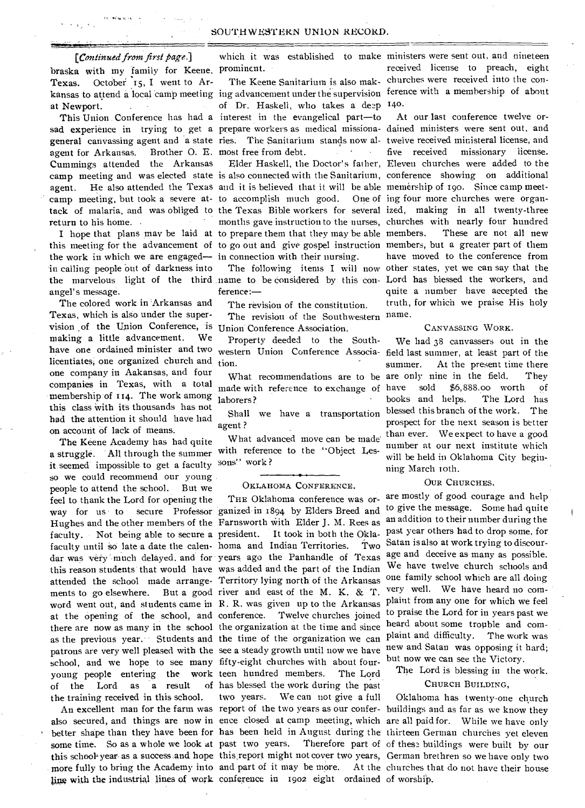#### *[Continued from first page.]*

braska with my family for Keene. prominent. Texas. October 15, I went to Arat Newport.

general canvassing agent and a state ries. The Sanitarium stands now al- twelve received ministeral license, and agent for Arkansas. Cummings attended the Arkansas camp meeting, but took a severe at-to accomplish much good. One of ing four more churches were organreturn to his home.

the work in which we are engaged— in connection with their nursing. in calling people Out of darkness into angel's message.

The colored work in Arkansas and Texas, which is also under the supervision of the Union Conference, is Union Conference Association. making a little advancement. We have one ordained minister and two licentiates, one organized church and one company in Aakansas, and four companies in Texas, with a total membership of 114. The work among this class With its thousands has not had the attention it should have had on account of lack of means.

The Keene Academy has had quite a struggle. All through the summer it seemed impossible to get a faculty sons" work? so we could recommend our young people to attend the school. But we feel to thank the Lord for opening the way for us to secure Professor ganized-in 1894 by Elders Breed and to give the message. Some had quite Hughes and the other members of the Farnsworth with Elder J. M. Rees as an addition to their number during the faculty. Not being able to secure a president. faculty until so late a date the calen- homa and Indian Territories. Two dar was very much delayed, and for years ago the Panhandle of Texas age and deceive as many as possible. this reason students that would have was added and the part of the Indian attended the school made arrange-Territory lying north of the Arkansas one family school which are all doing ments to go elsewhere. But a good river and east of the M. K. & T. word went out, and students came in B. R. was given up to the Arkansas plaint from any one for which we feel at the opening of the school, and conference. Twelve churches joined there are now as many in the school the organization at the time and since heard about some trouble and comas the previous year. Students and the time of the organization we can plaint and difficulty. The work was school, and we hope to see many fifty-eight churches with about four-but now we can see the Victory. young people entering the work of the Lord as a result of the training received in this school.

ling with the industrial lines of work conference in 1902 eight ordained of worship.

This Union Conference has had a interest in the evangelical part—to of Dr. Haskell, who takes a deep 140. Brother O. E. most free from debt.

agent. He also attended the Texas and it is believed that it will be able memership of 190. Since camp meet-I hope that plans may be laid at to prepare them that they may be able this meeting for the advancement of to go out and give gospel instruction members, but a greater part of them

ference:—

The revision of the constitution. The revision of the Southwestern

Property deeded to the Southtion.

What recommendations are to be made with reference to exchange of laborers?

agent ?

What advanced move can be made with reference to the "Object Les-

#### OKLAHOMA CONFERENCE.

work teen hundred members. The Lord of has blessed the work during the past two years. We can not give a full

kansas to attend a local camp meeting ing advancement under the supervision ference with a membership of about which it was established to make ministers were sent out, and nineteen The Keene Sanitarium is also mak-churches were received into the conreceived license to preach, eight

sad experience in trying to get a prepare workers as medical missiona-dained ministers were sent out, and camp meeting and was elected state is also connected with the Sanitarium, conference showing on additional tack of malaria, and was obliged to the Texas Bible workers for several ized, making in all twenty-three the marvelous light of the third name to be considered by this con- Lord has blessed the workers, and Elder Haskell, the Doctor's father, Eleven churches were added to the months gave instruction to the nurses, churches with nearly four hundred The following items I will now other states, yet we can say that the At our last conference twelve orfive received missionary license. These are not all new have moved to the conference from quite a number have accepted the truth, for which we praise His holy name.

#### CANVASSING WORK.

western Union Conference Associa-field last summer, at least part of the Shall we have a transportation blessed this branch of the work. The We had 38 canvassers out in the summer. At the present time there are only nine in the field. They have sold \$6,888.00 worth of books and helps. The Lord has prospect for the next season is better than ever. We expect to have a good number at our next institute which will be held in Oklahoma City beginning March roth.

#### OUR CHURCHES.

patrons are very well pleased with the see a steady growth until now we have new and Satan was opposing it hard; THE Oklahoma conference was or- are mostly of good courage and help president. It took in both the Okla-past year others had to drop some, for Two Satan is also at work trying to discour-We have twelve church schools and very well. We have heard no comto praise the Lord for in years past we

The Lord is blessing in the work.

#### CHURCH BUILDING,

An excellent man for the farm was report of the two years as our confer- buildings and as far as we know they also secured, and things are now in ence closed at camp meeting, which are all paid for. While we have only better shape than they have been for has been held in August during the thirteen German churches yet eleven some time. So as a whole we look at past two years. Therefore part of of these buildings were built by our this school year as a success and hope this report might not cover two years, German brethren so we have only two more fully to bring the Academy into and part of it may be more. At the churches that do not have their house Oklahoma has twenty-one church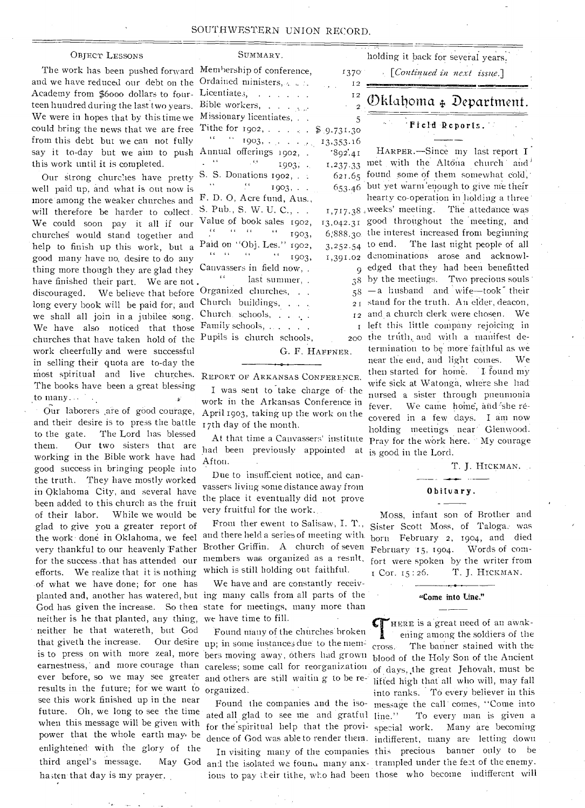#### SOUTHWESTERN UNION RECORD.

SUMMARY.

#### OBJECT LESSONS

The work has been pushed forward and we have reduced our debt on the Academy from \$60oo dollars to fourteen hundred during the last two years. We were in hopes that by this time we could bring the news that we are free from this debt but we can not fully say it to-day but we aim to push this work until it is completed.

Our strong churches have pretty well paid up, and what is out now is more among the weaker churches and will therefore be harder to collect. We could soon pay it all if our churches would stand together and help to finish up this work, but a good many have no, desire to do any thing more though they are glad they have finished their part. We are not. discouraged. We believe that before long every book will be paid for; and we shall all join in a jubilee 'song. We have also noticed that those churches that have taken hold of the work cheerfully and were successful in selling their quota are to-day the most spiritual and live churches. The books have been a great blessing to many...  $\mathcal{A}_{\mathcal{A}}$ 

Our laborers are of good courage, and their desire is to press the battle to the gate. The Lord has blessed them. Our two sisters that are working in the Bible work have had good success in bringing people into the truth. They have mostly worked in Oklahoma City, and several have -been added to this church as the fruit of their labor. While we would be glad to give you a greater report of the work' done in Oklahoma, we feel very thankful to our heavenly 'Father for the success .that has attended our efforts. We realize that it is nothing of what we have done; for one has planted and, another has watered, but ing many calls from all parts of the God has given the increase. So then state for meetings, many more than neither is he that planted, any thing, • neither he that watereth, but God that giveth the increase. results in the future; for we want to see this work finished up in the near future. Oh, we long to see the time when this message will be given with power that the whole earth may be enlightened with the glory of the third angel's message. May God haiten-that day is my prayer.

| Membership of conference,                                  | 1370               |
|------------------------------------------------------------|--------------------|
| Ordained ministers, and all                                | 12                 |
| Licentiate.,                                               | I <sub>2</sub>     |
| Bible workers,                                             | 2                  |
| Missionary licentiates,                                    | 5                  |
| Tithe for 1902, \$ 9.731.30                                |                    |
|                                                            | 13,353.16          |
| Annual offerings 1902, .                                   | 892.41             |
| $\epsilon$<br>$\mathbb{Z}^{n-1}$<br>$\sim$ 6.6<br>1903,    |                    |
| S. S. Donations 1902,                                      | 1,237.33<br>621.65 |
| i.                                                         |                    |
| 1903,<br>F. D. O, Acre fund, Aus.,                         | 653.46             |
| S. Pub., S. W. U. C.,                                      |                    |
|                                                            | 1,717.38           |
| Value of book sales 1902,<br>$\alpha = \alpha - \alpha$    | 13,042.31          |
| $\sim 100$ k K<br>1903,                                    | 6,888.30           |
| Paid on "Obj. Les." 1902,                                  | 3,252.54           |
| $\frac{1}{100}$ and $\frac{1}{100}$ and $\frac{1}{1003}$ , | 1,391.02           |
| Canvassers in field now, .                                 | 9                  |
| ¢έ<br>last summer, .                                       | 38                 |
| Organized churches,                                        | 58                 |
| Church buildings,                                          | 21                 |
| Church schools, $\ldots$ .                                 | $\mathbb{I}2$      |
| Family schools,                                            | I                  |
| Pupils is church schools,                                  | 20C                |
|                                                            | G. F. HAFFNER.     |
|                                                            |                    |

REPORT OF ARKANSAS CONFERENCE.

I was sent to take charge of the work in the Arkansas Conference in April 1903, taking up the work on the 17th day of the month.

had been previously appointed at is good in the Lord. Afton.

Due to insufficient notice, and canvassers living some distance away from the place it eventually did not prove very fruitful for the work.

Front ther event to Salisaw, I. T., and there held a series of meeting with born February 2, 1904, and died Brother Griffin. A church of seven members was organized as a result, which is still holding out faithful.

We have and are constantly receivwe have time to fill.

is to press on with more zeal, more bers moving away, others had grown earnestness, and more courage than careless; some call for reorganization ever before, so we may see greater and others are still waiting to be re-Found many of the churches' broken Our desire up; in some instances due to the memorganized.

> ated all glad to see me and gratful line." for the spiritual help that the provi- special work.

ious to pay their tithe, who had been those who become indifferent will

holding it back for several years. *[Continued in next issue.]* 

# Oklahoma 4, Department.

Field Reports.

 $_{1,237.33}$  met with the Altona church and  $.65$  $0.46$  $13,042.31$  good throughout the meeting, and 6,888.30 the interest increased from beginning  $3,252.54$  to end. The last night people of all  $02$  $\overline{Q}$ 38 58 21 stand for the truth. An elder, deacon, 12 and a church clerk were chosen. We At that time a Canvassers' institute Pray for the work here. My courage HARPER.—Since my last report I found some of them somewhat cold, but yet warm 'enough to give me their hearty co-operation in holding a three' .38 , weeks' meeting. The attedance was denominations arose and acknowledged that they had been benefitted by the meetings. Two precious souls —a husband and wife—took their I left this little company rejoicing in 200 the truth, and with a manifest determination to be more faithful as we near the end, and light comes. We then started for home. I found my wife sick at Watonga, where she had nursed a sister through pneumonia fever. We came home, and she recovered in a few dayS. I am now holding meetings near' Glenwood.

T. J. HICKMAN.

#### Obituary.

Moss, infant son of Brother and Sister Scott Moss, of Taloga. was February 15, 1904. Words of comfort were spoken by the writer from Cor. 15 :26. T. J. HICKMAN.

#### "Come into Line."

Found the companies and the iso-message the call' comes, "Come into dence of God was able to render them. indifferent, many are letting down In visiting many of the companies this precious banner only to be and the isolated we found many anx-trampled under the feet of the enemy. HERE is a great need of an awakening among the soldiers of the cross.- The banner stained with the blood of the Holy Son of the Ancient of days, the great Jehovah, must be liffed high that all who will, may fall into ranks. To every believer in this To every man is given a Many are becoming